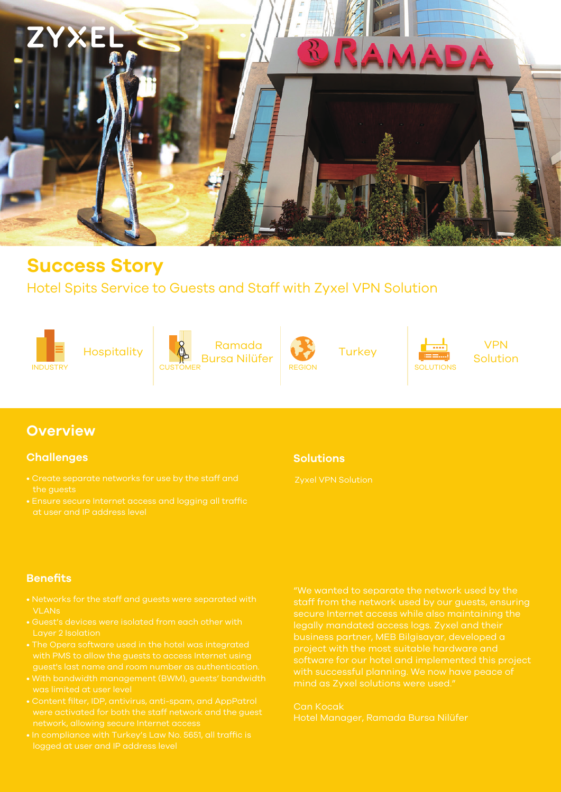

## **Success Story**

## Hotel Spits Service to Guests and Staff with Zyxel VPN Solution











Solution

## **Overview**

#### **Challenges**

- 
- at user and IP address level

#### **Solutions**

### **Benefits**

- VLANs
- 
- 
- was limited at user level
- 
- 

staff from the network used by our guests, ensuring legally mandated access logs. Zyxel and their

Can Kocak Hotel Manager, Ramada Bursa Nilüfer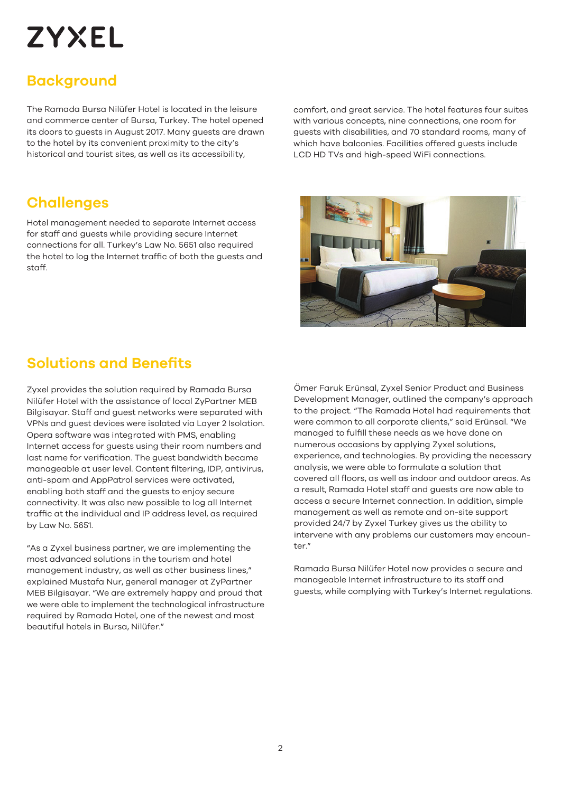# **ZYXEL**

## **Background**

The Ramada Bursa Nilüfer Hotel is located in the leisure and commerce center of Bursa, Turkey. The hotel opened its doors to guests in August 2017. Many guests are drawn to the hotel by its convenient proximity to the city's historical and tourist sites, as well as its accessibility,

comfort, and great service. The hotel features four suites with various concepts, nine connections, one room for guests with disabilities, and 70 standard rooms, many of which have balconies. Facilities offered guests include LCD HD TVs and high-speed WiFi connections.

## **Challenges**

Hotel management needed to separate Internet access for staff and guests while providing secure Internet connections for all. Turkey's Law No. 5651 also required the hotel to log the Internet traffic of both the guests and staff.



## **Solutions and Benefits**

Zyxel provides the solution required by Ramada Bursa Nilüfer Hotel with the assistance of local ZyPartner MEB Bilgisayar. Staff and guest networks were separated with VPNs and guest devices were isolated via Layer 2 Isolation. Opera software was integrated with PMS, enabling Internet access for guests using their room numbers and last name for verification. The guest bandwidth became manageable at user level. Content filtering, IDP, antivirus, anti-spam and AppPatrol services were activated, enabling both staff and the guests to enjoy secure connectivity. It was also new possible to log all Internet traffic at the individual and IP address level, as required by Law No. 5651.

"As a Zyxel business partner, we are implementing the most advanced solutions in the tourism and hotel management industry, as well as other business lines," explained Mustafa Nur, general manager at ZyPartner MEB Bilgisayar. "We are extremely happy and proud that we were able to implement the technological infrastructure required by Ramada Hotel, one of the newest and most beautiful hotels in Bursa, Nilüfer."

Ömer Faruk Erünsal, Zyxel Senior Product and Business Development Manager, outlined the company's approach to the project. "The Ramada Hotel had requirements that were common to all corporate clients," said Erünsal. "We managed to fulfill these needs as we have done on numerous occasions by applying Zyxel solutions, experience, and technologies. By providing the necessary analysis, we were able to formulate a solution that covered all floors, as well as indoor and outdoor areas. As a result, Ramada Hotel staff and guests are now able to access a secure Internet connection. In addition, simple management as well as remote and on-site support provided 24/7 by Zyxel Turkey gives us the ability to intervene with any problems our customers may encoun $tor''$ 

Ramada Bursa Nilüfer Hotel now provides a secure and manageable Internet infrastructure to its staff and guests, while complying with Turkey's Internet regulations.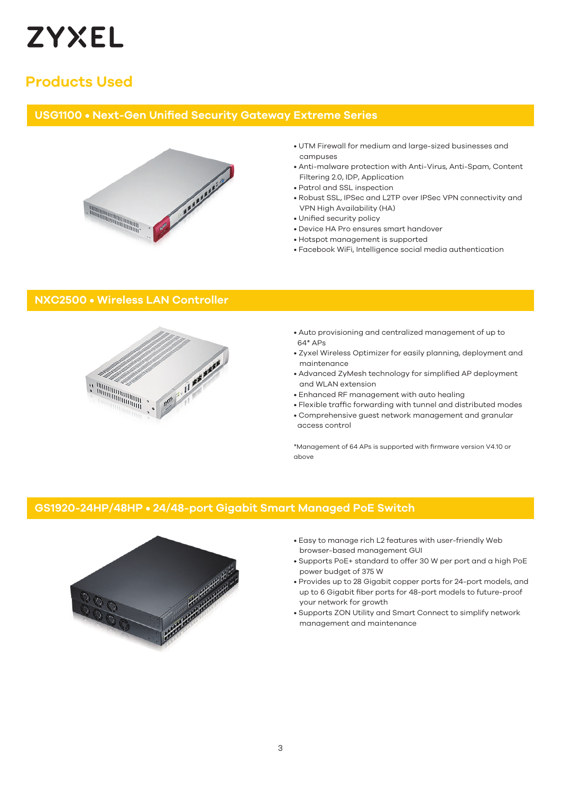

## **Products Used**

#### **USG1100 • Next-Gen Unified Security Gateway Extreme Series**



- UTM Firewall for medium and large-sized businesses and campuses
- Anti-malware protection with Anti-Virus, Anti-Spam, Content Filtering 2.0, IDP, Application
- Patrol and SSL inspection
- Robust SSL, IPSec and L2TP over IPSec VPN connectivity and VPN High Availability (HA)
- Unified security policy
- Device HA Pro ensures smart handover
- Hotspot management is supported
- Facebook WiFi, Intelligence social media authentication

#### **NXC2500 • Wireless LAN Controller**



- Auto provisioning and centralized management of up to 64\* APs
- Zyxel Wireless Optimizer for easily planning, deployment and maintenance
- Advanced ZyMesh technology for simplified AP deployment and WLAN extension
- Enhanced RF management with auto healing
- Flexible traffic forwarding with tunnel and distributed modes
- Comprehensive guest network management and granular access control

\*Management of 64 APs is supported with firmware version V4.10 or above

#### **GS1920-24HP/48HP • 24/48-port Gigabit Smart Managed PoE Switch**



- Easy to manage rich L2 features with user-friendly Web browser-based management GUI
- Supports PoE+ standard to offer 30 W per port and a high PoE power budget of 375 W
- Provides up to 28 Gigabit copper ports for 24-port models, and up to 6 Gigabit fiber ports for 48-port models to future-proof your network for growth
- Supports ZON Utility and Smart Connect to simplify network management and maintenance